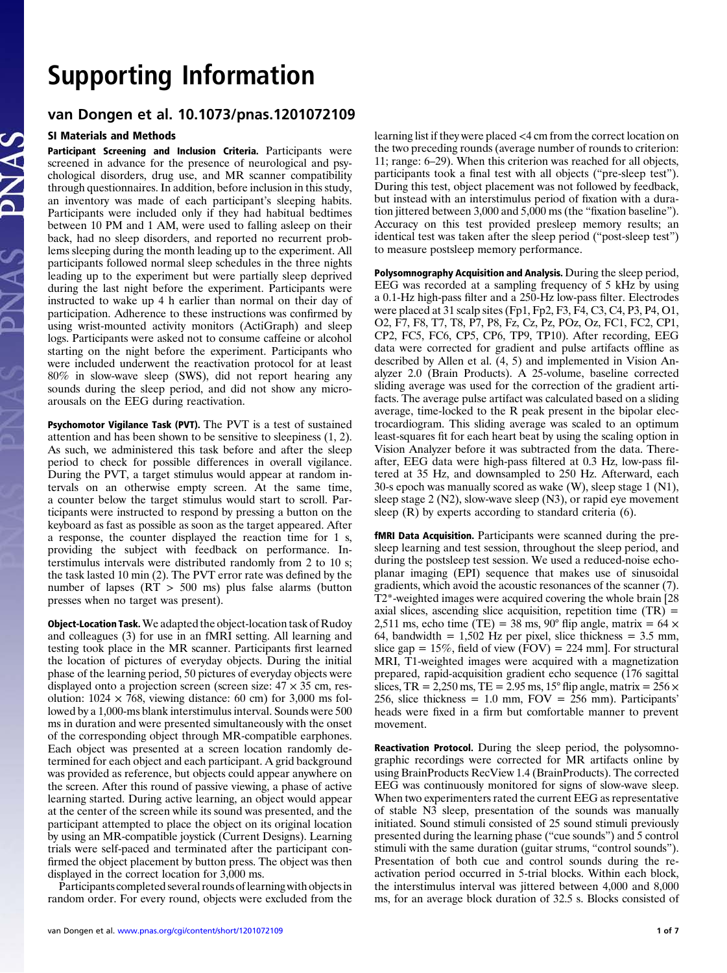# Support the Information of the Information of the Information of the Information of the Information of the Information of the Information of the Information of the Information of the Information of the Information of the I van Dongen et al. 10.1073/pnas.1201072109

# SI Materials and Methods

Participant Screening and Inclusion Criteria. Participants were screened in advance for the presence of neurological and psychological disorders, drug use, and MR scanner compatibility through questionnaires. In addition, before inclusion in this study, an inventory was made of each participant's sleeping habits. Participants were included only if they had habitual bedtimes between 10 PM and 1 AM, were used to falling asleep on their back, had no sleep disorders, and reported no recurrent problems sleeping during the month leading up to the experiment. All participants followed normal sleep schedules in the three nights leading up to the experiment but were partially sleep deprived during the last night before the experiment. Participants were instructed to wake up 4 h earlier than normal on their day of participation. Adherence to these instructions was confirmed by using wrist-mounted activity monitors (ActiGraph) and sleep logs. Participants were asked not to consume caffeine or alcohol starting on the night before the experiment. Participants who were included underwent the reactivation protocol for at least 80% in slow-wave sleep (SWS), did not report hearing any sounds during the sleep period, and did not show any microarousals on the EEG during reactivation.

Psychomotor Vigilance Task (PVT). The PVT is a test of sustained attention and has been shown to be sensitive to sleepiness (1, 2). As such, we administered this task before and after the sleep period to check for possible differences in overall vigilance. During the PVT, a target stimulus would appear at random intervals on an otherwise empty screen. At the same time, a counter below the target stimulus would start to scroll. Participants were instructed to respond by pressing a button on the keyboard as fast as possible as soon as the target appeared. After a response, the counter displayed the reaction time for 1 s, providing the subject with feedback on performance. Interstimulus intervals were distributed randomly from 2 to 10 s; the task lasted 10 min (2). The PVT error rate was defined by the number of lapses (RT > 500 ms) plus false alarms (button presses when no target was present).

Object-Location Task.We adapted the object-location task of Rudoy and colleagues (3) for use in an fMRI setting. All learning and testing took place in the MR scanner. Participants first learned the location of pictures of everyday objects. During the initial phase of the learning period, 50 pictures of everyday objects were displayed onto a projection screen (screen size:  $47 \times 35$  cm, resolution:  $1024 \times 768$ , viewing distance: 60 cm) for 3,000 ms followed by a 1,000-ms blank interstimulus interval. Sounds were 500 ms in duration and were presented simultaneously with the onset of the corresponding object through MR-compatible earphones. Each object was presented at a screen location randomly determined for each object and each participant. A grid background was provided as reference, but objects could appear anywhere on the screen. After this round of passive viewing, a phase of active learning started. During active learning, an object would appear at the center of the screen while its sound was presented, and the participant attempted to place the object on its original location by using an MR-compatible joystick (Current Designs). Learning trials were self-paced and terminated after the participant confirmed the object placement by button press. The object was then displayed in the correct location for 3,000 ms.

Participants completed several rounds of learning with objects in random order. For every round, objects were excluded from the learning list if they were placed <4 cm from the correct location on the two preceding rounds (average number of rounds to criterion: 11; range: 6–29). When this criterion was reached for all objects, participants took a final test with all objects ("pre-sleep test"). During this test, object placement was not followed by feedback, but instead with an interstimulus period of fixation with a duration jittered between 3,000 and 5,000 ms (the "fixation baseline"). Accuracy on this test provided presleep memory results; an identical test was taken after the sleep period ("post-sleep test") to measure postsleep memory performance.

Polysomnography Acquisition and Analysis. During the sleep period, EEG was recorded at a sampling frequency of 5 kHz by using a 0.1-Hz high-pass filter and a 250-Hz low-pass filter. Electrodes were placed at 31 scalp sites (Fp1, Fp2, F3, F4, C3, C4, P3, P4, O1, O2, F7, F8, T7, T8, P7, P8, Fz, Cz, Pz, POz, Oz, FC1, FC2, CP1, CP2, FC5, FC6, CP5, CP6, TP9, TP10). After recording, EEG data were corrected for gradient and pulse artifacts offline as described by Allen et al.  $(4, 5)$  and implemented in Vision Analyzer 2.0 (Brain Products). A 25-volume, baseline corrected sliding average was used for the correction of the gradient artifacts. The average pulse artifact was calculated based on a sliding average, time-locked to the R peak present in the bipolar electrocardiogram. This sliding average was scaled to an optimum least-squares fit for each heart beat by using the scaling option in Vision Analyzer before it was subtracted from the data. Thereafter, EEG data were high-pass filtered at 0.3 Hz, low-pass filtered at 35 Hz, and downsampled to 250 Hz. Afterward, each 30-s epoch was manually scored as wake (W), sleep stage 1 (N1), sleep stage 2 (N2), slow-wave sleep (N3), or rapid eye movement sleep  $(R)$  by experts according to standard criteria  $(6)$ .

fMRI Data Acquisition. Participants were scanned during the presleep learning and test session, throughout the sleep period, and during the postsleep test session. We used a reduced-noise echoplanar imaging (EPI) sequence that makes use of sinusoidal gradients, which avoid the acoustic resonances of the scanner (7). T2\*-weighted images were acquired covering the whole brain [28 axial slices, ascending slice acquisition, repetition time  $(TR)$  = 2,511 ms, echo time (TE) = 38 ms, 90° flip angle, matrix = 64  $\times$ 64, bandwidth =  $1,502$  Hz per pixel, slice thickness =  $3.5$  mm, slice gap =  $15\%$ , field of view (FOV) = 224 mm]. For structural MRI, T1-weighted images were acquired with a magnetization prepared, rapid-acquisition gradient echo sequence (176 sagittal slices,  $TR = 2,250$  ms,  $TE = 2.95$  ms,  $15^{\circ}$  flip angle, matrix =  $256 \times$ 256, slice thickness = 1.0 mm,  $FOV = 256$  mm). Participants' heads were fixed in a firm but comfortable manner to prevent movement.

Reactivation Protocol. During the sleep period, the polysomnographic recordings were corrected for MR artifacts online by using BrainProducts RecView 1.4 (BrainProducts). The corrected EEG was continuously monitored for signs of slow-wave sleep. When two experimenters rated the current EEG as representative of stable N3 sleep, presentation of the sounds was manually initiated. Sound stimuli consisted of 25 sound stimuli previously presented during the learning phase ("cue sounds") and 5 control stimuli with the same duration (guitar strums, "control sounds"). Presentation of both cue and control sounds during the reactivation period occurred in 5-trial blocks. Within each block, the interstimulus interval was jittered between 4,000 and 8,000 ms, for an average block duration of 32.5 s. Blocks consisted of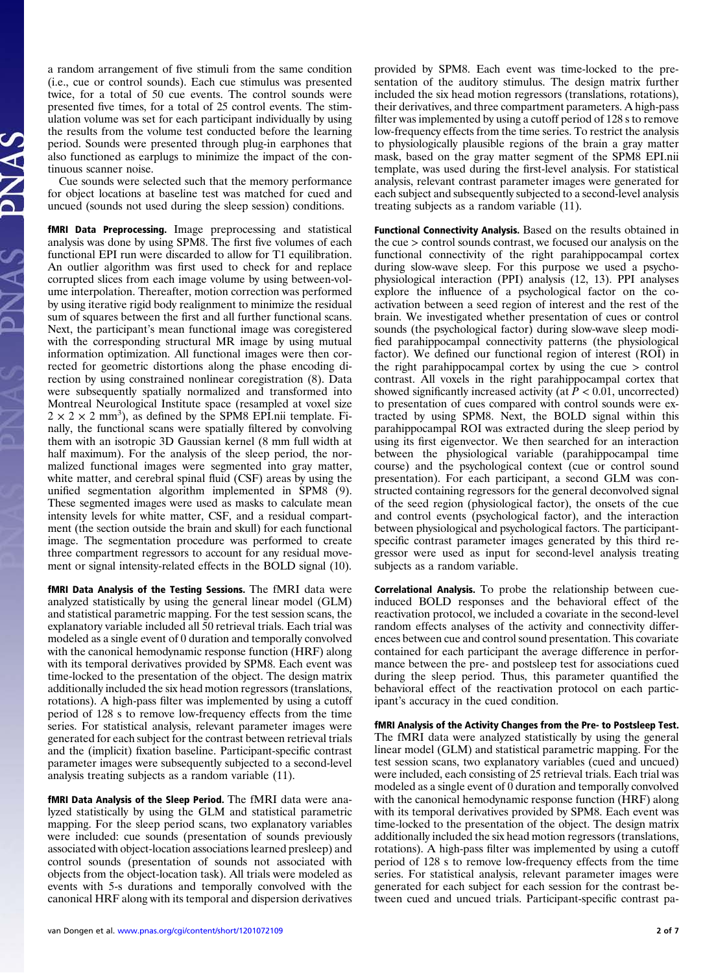a random arrangement of five stimuli from the same condition (i.e., cue or control sounds). Each cue stimulus was presented twice, for a total of 50 cue events. The control sounds were presented five times, for a total of 25 control events. The stimulation volume was set for each participant individually by using the results from the volume test conducted before the learning period. Sounds were presented through plug-in earphones that also functioned as earplugs to minimize the impact of the continuous scanner noise.

Cue sounds were selected such that the memory performance for object locations at baseline test was matched for cued and uncued (sounds not used during the sleep session) conditions.

fMRI Data Preprocessing. Image preprocessing and statistical analysis was done by using SPM8. The first five volumes of each functional EPI run were discarded to allow for T1 equilibration. An outlier algorithm was first used to check for and replace corrupted slices from each image volume by using between-volume interpolation. Thereafter, motion correction was performed by using iterative rigid body realignment to minimize the residual sum of squares between the first and all further functional scans. Next, the participant's mean functional image was coregistered with the corresponding structural MR image by using mutual information optimization. All functional images were then corrected for geometric distortions along the phase encoding direction by using constrained nonlinear coregistration (8). Data were subsequently spatially normalized and transformed into Montreal Neurological Institute space (resampled at voxel size  $2 \times 2 \times 2$  mm<sup>3</sup>), as defined by the SPM8 EPI.nii template. Finally, the functional scans were spatially filtered by convolving them with an isotropic 3D Gaussian kernel (8 mm full width at half maximum). For the analysis of the sleep period, the normalized functional images were segmented into gray matter, white matter, and cerebral spinal fluid (CSF) areas by using the unified segmentation algorithm implemented in SPM8 (9). These segmented images were used as masks to calculate mean intensity levels for white matter, CSF, and a residual compartment (the section outside the brain and skull) for each functional image. The segmentation procedure was performed to create three compartment regressors to account for any residual movement or signal intensity-related effects in the BOLD signal (10).

fMRI Data Analysis of the Testing Sessions. The fMRI data were analyzed statistically by using the general linear model (GLM) and statistical parametric mapping. For the test session scans, the explanatory variable included all 50 retrieval trials. Each trial was modeled as a single event of 0 duration and temporally convolved with the canonical hemodynamic response function (HRF) along with its temporal derivatives provided by SPM8. Each event was time-locked to the presentation of the object. The design matrix additionally included the six head motion regressors (translations, rotations). A high-pass filter was implemented by using a cutoff period of 128 s to remove low-frequency effects from the time series. For statistical analysis, relevant parameter images were generated for each subject for the contrast between retrieval trials and the (implicit) fixation baseline. Participant-specific contrast parameter images were subsequently subjected to a second-level analysis treating subjects as a random variable (11).

fMRI Data Analysis of the Sleep Period. The fMRI data were analyzed statistically by using the GLM and statistical parametric mapping. For the sleep period scans, two explanatory variables were included: cue sounds (presentation of sounds previously associated with object-location associations learned presleep) and control sounds (presentation of sounds not associated with objects from the object-location task). All trials were modeled as events with 5-s durations and temporally convolved with the canonical HRF along with its temporal and dispersion derivatives

van Dongen et al. <www.pnas.org/cgi/content/short/1201072109> 2 of 7 and 2 of 7 and 2 of 7 and 2 of 7 and 2 of 7

provided by SPM8. Each event was time-locked to the presentation of the auditory stimulus. The design matrix further included the six head motion regressors (translations, rotations), their derivatives, and three compartment parameters. A high-pass filter was implemented by using a cutoff period of 128 s to remove low-frequency effects from the time series. To restrict the analysis to physiologically plausible regions of the brain a gray matter mask, based on the gray matter segment of the SPM8 EPI.nii template, was used during the first-level analysis. For statistical analysis, relevant contrast parameter images were generated for each subject and subsequently subjected to a second-level analysis treating subjects as a random variable (11).

Functional Connectivity Analysis. Based on the results obtained in the cue > control sounds contrast, we focused our analysis on the functional connectivity of the right parahippocampal cortex during slow-wave sleep. For this purpose we used a psychophysiological interaction (PPI) analysis (12, 13). PPI analyses explore the influence of a psychological factor on the coactivation between a seed region of interest and the rest of the brain. We investigated whether presentation of cues or control sounds (the psychological factor) during slow-wave sleep modified parahippocampal connectivity patterns (the physiological factor). We defined our functional region of interest (ROI) in the right parahippocampal cortex by using the cue > control contrast. All voxels in the right parahippocampal cortex that showed significantly increased activity (at  $P < 0.01$ , uncorrected) to presentation of cues compared with control sounds were extracted by using SPM8. Next, the BOLD signal within this parahippocampal ROI was extracted during the sleep period by using its first eigenvector. We then searched for an interaction between the physiological variable (parahippocampal time course) and the psychological context (cue or control sound presentation). For each participant, a second GLM was constructed containing regressors for the general deconvolved signal of the seed region (physiological factor), the onsets of the cue and control events (psychological factor), and the interaction between physiological and psychological factors. The participantspecific contrast parameter images generated by this third regressor were used as input for second-level analysis treating subjects as a random variable.

Correlational Analysis. To probe the relationship between cueinduced BOLD responses and the behavioral effect of the reactivation protocol, we included a covariate in the second-level random effects analyses of the activity and connectivity differences between cue and control sound presentation. This covariate contained for each participant the average difference in performance between the pre- and postsleep test for associations cued during the sleep period. Thus, this parameter quantified the behavioral effect of the reactivation protocol on each participant's accuracy in the cued condition.

fMRI Analysis of the Activity Changes from the Pre- to Postsleep Test. The fMRI data were analyzed statistically by using the general linear model (GLM) and statistical parametric mapping. For the test session scans, two explanatory variables (cued and uncued) were included, each consisting of 25 retrieval trials. Each trial was modeled as a single event of 0 duration and temporally convolved with the canonical hemodynamic response function (HRF) along with its temporal derivatives provided by SPM8. Each event was time-locked to the presentation of the object. The design matrix additionally included the six head motion regressors (translations, rotations). A high-pass filter was implemented by using a cutoff period of 128 s to remove low-frequency effects from the time series. For statistical analysis, relevant parameter images were generated for each subject for each session for the contrast between cued and uncued trials. Participant-specific contrast pa-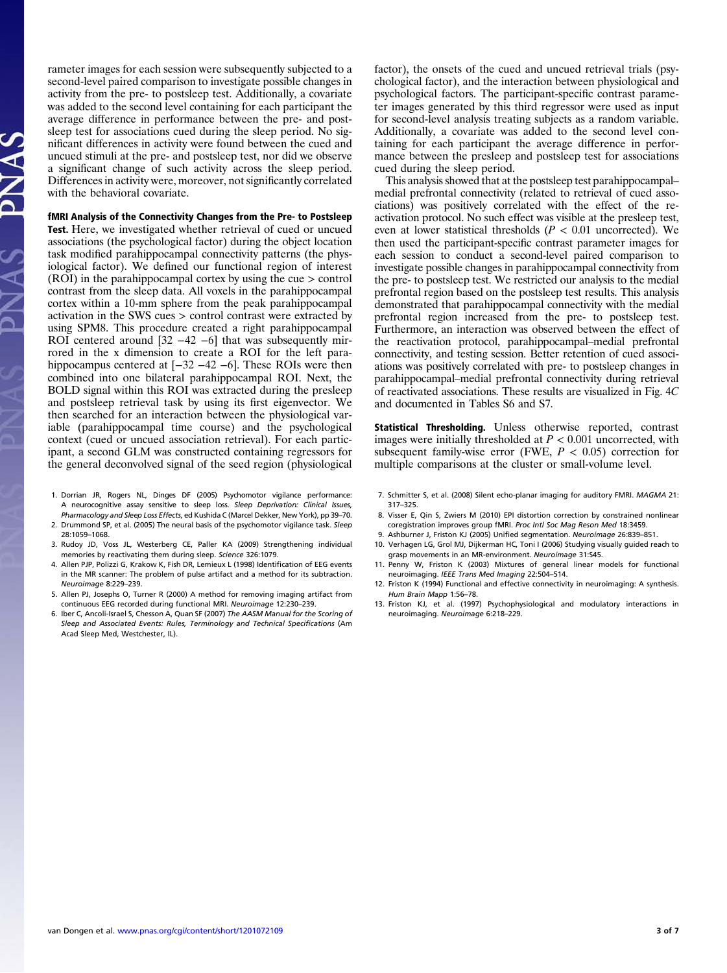rameter images for each session were subsequently subjected to a second-level paired comparison to investigate possible changes in activity from the pre- to postsleep test. Additionally, a covariate was added to the second level containing for each participant the average difference in performance between the pre- and postsleep test for associations cued during the sleep period. No significant differences in activity were found between the cued and uncued stimuli at the pre- and postsleep test, nor did we observe a significant change of such activity across the sleep period. Differences in activity were, moreover, not significantly correlated with the behavioral covariate.

# fMRI Analysis of the Connectivity Changes from the Pre- to Postsleep

Test. Here, we investigated whether retrieval of cued or uncued associations (the psychological factor) during the object location task modified parahippocampal connectivity patterns (the physiological factor). We defined our functional region of interest (ROI) in the parahippocampal cortex by using the cue > control contrast from the sleep data. All voxels in the parahippocampal cortex within a 10-mm sphere from the peak parahippocampal activation in the SWS cues > control contrast were extracted by using SPM8. This procedure created a right parahippocampal ROI centered around [32 −42 −6] that was subsequently mirrored in the x dimension to create a ROI for the left parahippocampus centered at [−32 −42 −6]. These ROIs were then combined into one bilateral parahippocampal ROI. Next, the BOLD signal within this ROI was extracted during the presleep and postsleep retrieval task by using its first eigenvector. We then searched for an interaction between the physiological variable (parahippocampal time course) and the psychological context (cued or uncued association retrieval). For each participant, a second GLM was constructed containing regressors for the general deconvolved signal of the seed region (physiological

- 1. Dorrian JR, Rogers NL, Dinges DF (2005) Psychomotor vigilance performance: A neurocognitive assay sensitive to sleep loss. Sleep Deprivation: Clinical Issues, Pharmacology and Sleep Loss Effects, ed Kushida C (Marcel Dekker, New York), pp 39-70. 2. Drummond SP, et al. (2005) The neural basis of the psychomotor vigilance task. Sleep
- 28:1059–1068.
- 3. Rudoy JD, Voss JL, Westerberg CE, Paller KA (2009) Strengthening individual memories by reactivating them during sleep. Science 326:1079.
- 4. Allen PJP, Polizzi G, Krakow K, Fish DR, Lemieux L (1998) Identification of EEG events in the MR scanner: The problem of pulse artifact and a method for its subtraction. Neuroimage 8:229–239.
- 5. Allen PJ, Josephs O, Turner R (2000) A method for removing imaging artifact from continuous EEG recorded during functional MRI. Neuroimage 12:230–239.
- 6. Iber C, Ancoli-Israel S, Chesson A, Quan SF (2007) The AASM Manual for the Scoring of Sleep and Associated Events: Rules, Terminology and Technical Specifications (Am Acad Sleep Med, Westchester, IL).

factor), the onsets of the cued and uncued retrieval trials (psychological factor), and the interaction between physiological and psychological factors. The participant-specific contrast parameter images generated by this third regressor were used as input for second-level analysis treating subjects as a random variable. Additionally, a covariate was added to the second level containing for each participant the average difference in performance between the presleep and postsleep test for associations cued during the sleep period.

This analysis showed that at the postsleep test parahippocampal– medial prefrontal connectivity (related to retrieval of cued associations) was positively correlated with the effect of the reactivation protocol. No such effect was visible at the presleep test, even at lower statistical thresholds ( $P < 0.01$  uncorrected). We then used the participant-specific contrast parameter images for each session to conduct a second-level paired comparison to investigate possible changes in parahippocampal connectivity from the pre- to postsleep test. We restricted our analysis to the medial prefrontal region based on the postsleep test results. This analysis demonstrated that parahippocampal connectivity with the medial prefrontal region increased from the pre- to postsleep test. Furthermore, an interaction was observed between the effect of the reactivation protocol, parahippocampal–medial prefrontal connectivity, and testing session. Better retention of cued associations was positively correlated with pre- to postsleep changes in parahippocampal–medial prefrontal connectivity during retrieval of reactivated associations. These results are visualized in Fig. 4C and documented in Tables S6 and S7.

Statistical Thresholding. Unless otherwise reported, contrast images were initially thresholded at  $P < 0.001$  uncorrected, with subsequent family-wise error (FWE,  $P < 0.05$ ) correction for multiple comparisons at the cluster or small-volume level.

- 7. Schmitter S, et al. (2008) Silent echo-planar imaging for auditory FMRI. MAGMA 21: 317–325.
- 8. Visser E, Qin S, Zwiers M (2010) EPI distortion correction by constrained nonlinear coregistration improves group fMRI. Proc Intl Soc Mag Reson Med 18:3459.
- 9. Ashburner J, Friston KJ (2005) Unified segmentation. Neuroimage 26:839–851.
- 10. Verhagen LG, Grol MJ, Dijkerman HC, Toni I (2006) Studying visually guided reach to grasp movements in an MR-environment. Neuroimage 31:S45.
- 11. Penny W, Friston K (2003) Mixtures of general linear models for functional neuroimaging. IEEE Trans Med Imaging 22:504–514.
- 12. Friston K (1994) Functional and effective connectivity in neuroimaging: A synthesis. Hum Brain Mapp 1:56–78.
- 13. Friston KJ, et al. (1997) Psychophysiological and modulatory interactions in neuroimaging. Neuroimage 6:218–229.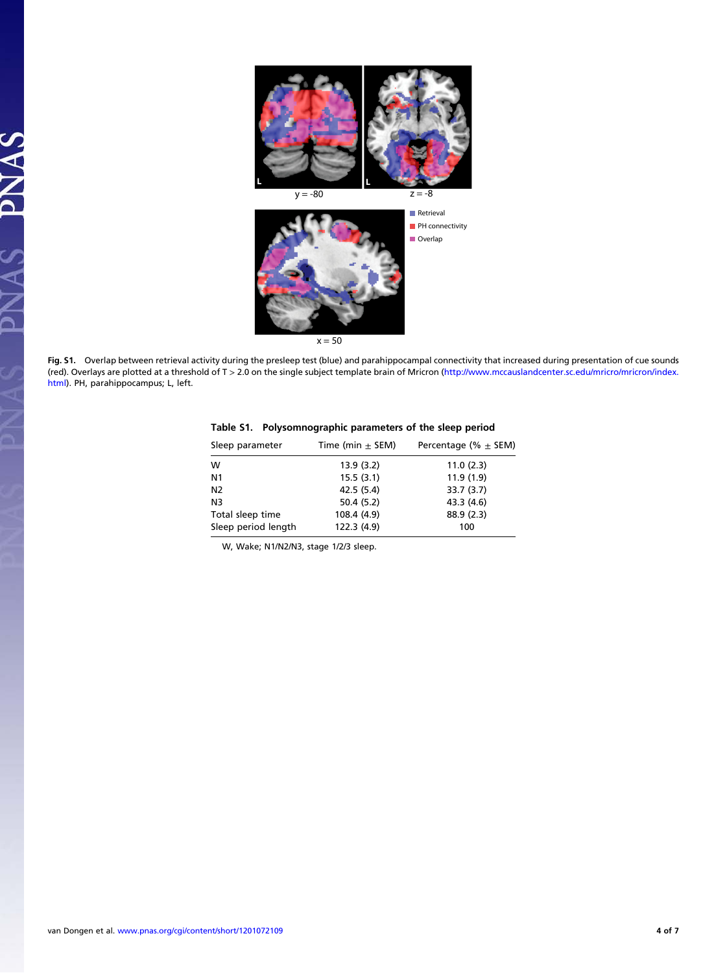

Fig. S1. Overlap between retrieval activity during the presleep test (blue) and parahippocampal connectivity that increased during presentation of cue sounds (red). Overlays are plotted at a threshold of T > 2.0 on the single subject template brain of Mricron [\(http://www.mccauslandcenter.sc.edu/mricro/mricron/index.](http://www.mccauslandcenter.sc.edu/mricro/mricron/index.html) [html](http://www.mccauslandcenter.sc.edu/mricro/mricron/index.html)). PH, parahippocampus; L, left.

| Sleep parameter     | Time (min $\pm$ SEM) | Percentage (% $\pm$ SEM) |
|---------------------|----------------------|--------------------------|
| w                   | 13.9(3.2)            | 11.0(2.3)                |
| N1                  | 15.5(3.1)            | 11.9(1.9)                |
| N <sub>2</sub>      | 42.5 (5.4)           | 33.7(3.7)                |
| N3                  | 50.4 (5.2)           | 43.3 (4.6)               |
| Total sleep time    | 108.4 (4.9)          | 88.9 (2.3)               |
| Sleep period length | 122.3 (4.9)          | 100                      |

| Table S1. Polysomnographic parameters of the sleep period |  |
|-----------------------------------------------------------|--|
|                                                           |  |

W, Wake; N1/N2/N3, stage 1/2/3 sleep.

PNAS

 $\boldsymbol{\lambda}$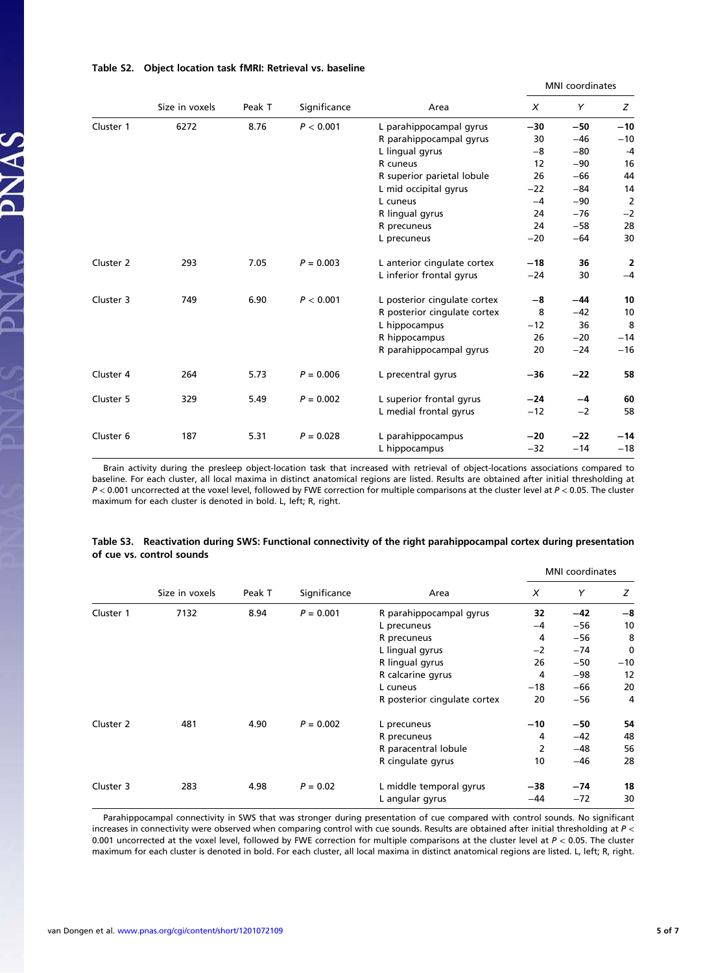|           |                |        |              | MNI coordinates              |                           |       |                |
|-----------|----------------|--------|--------------|------------------------------|---------------------------|-------|----------------|
|           | Size in voxels | Peak T | Significance | Area                         | $\boldsymbol{\mathsf{x}}$ | Y     | Z              |
| Cluster 1 | 6272           | 8.76   | P < 0.001    | L parahippocampal gyrus      | $-30$                     | $-50$ | $-10$          |
|           |                |        |              | R parahippocampal gyrus      | 30                        | $-46$ | $-10$          |
|           |                |        |              | L lingual gyrus              | -8                        | $-80$ | $-4$           |
|           |                |        |              | R cuneus                     | 12                        | $-90$ | 16             |
|           |                |        |              | R superior parietal lobule   | 26                        | $-66$ | 44             |
|           |                |        |              | L mid occipital gyrus        | $-22$                     | $-84$ | 14             |
|           |                |        |              | L cuneus                     | $-4$                      | $-90$ | $\overline{2}$ |
|           |                |        |              | R lingual gyrus              | 24                        | $-76$ | $-2$           |
|           |                |        |              | R precuneus                  | 24                        | $-58$ | 28             |
|           |                |        |              | L precuneus                  | $-20$                     | $-64$ | 30             |
| Cluster 2 | 293            | 7.05   | $P = 0.003$  | L anterior cingulate cortex  | $-18$                     | 36    | 2              |
|           |                |        |              | L inferior frontal gyrus     | $-24$                     | 30    | $-4$           |
| Cluster 3 | 749            | 6.90   | P < 0.001    | L posterior cingulate cortex | -8                        | $-44$ | 10             |
|           |                |        |              | R posterior cingulate cortex | 8                         | $-42$ | 10             |
|           |                |        |              | L hippocampus                | $-12$                     | 36    | 8              |
|           |                |        |              | R hippocampus                | 26                        | $-20$ | $-14$          |
|           |                |        |              | R parahippocampal gyrus      | 20                        | $-24$ | $-16$          |
| Cluster 4 | 264            | 5.73   | $P = 0.006$  | L precentral gyrus           | -36                       | $-22$ | 58             |
| Cluster 5 | 329            | 5.49   | $P = 0.002$  | L superior frontal gyrus     | $-24$                     | -4    | 60             |
|           |                |        |              | L medial frontal gyrus       | $-12$                     | $-2$  | 58             |
| Cluster 6 | 187            | 5.31   | $P = 0.028$  | L parahippocampus            | $-20$                     | $-22$ | $-14$          |
|           |                |        |              | L hippocampus                | $-32$                     | $-14$ | $-18$          |

### Table S2. Object location task fMRI: Retrieval vs. baseline

SVNG PNS

Brain activity during the presleep object-location task that increased with retrieval of object-locations associations compared to baseline. For each cluster, all local maxima in distinct anatomical regions are listed. Results are obtained after initial thresholding at  $P < 0.001$  uncorrected at the voxel level, followed by FWE correction for multiple comparisons at the cluster level at  $P < 0.05$ . The cluster maximum for each cluster is denoted in bold. L, left; R, right.

|           |                |        |                   |                              |       | <b>MNI</b> coordinates |    |
|-----------|----------------|--------|-------------------|------------------------------|-------|------------------------|----|
|           | Size in voxels | Peak T | Significance      | Area                         | X     | Y                      | z  |
| Cluster 1 | 7132           | 8.94   | $P = 0.001$       | R parahippocampal gyrus      | 32    | $-42$                  | -8 |
|           |                |        |                   | L precuneus                  | -4    | $-56$                  | 10 |
|           |                |        |                   | R precuneus                  | 4     | $-56$                  | 8  |
|           |                |        | L lingual gyrus   | $-2$                         | $-74$ | 0                      |    |
|           |                |        | R lingual gyrus   | 26                           | $-50$ | $-10$                  |    |
|           |                |        | R calcarine gyrus | 4                            | $-98$ | 12                     |    |
|           |                |        |                   | L cuneus                     | $-18$ | $-66$                  | 20 |
|           |                |        |                   | R posterior cingulate cortex | 20    | $-56$                  | 4  |
| Cluster 2 | 481            | 4.90   | $P = 0.002$       | L precuneus                  | $-10$ | $-50$                  | 54 |
|           |                |        |                   | R precuneus                  | 4     | $-42$                  | 48 |
|           |                |        |                   | R paracentral lobule         | 2     | $-48$                  | 56 |
|           |                |        |                   | R cingulate gyrus            | 10    | $-46$                  | 28 |
| Cluster 3 | 283            | 4.98   | $P = 0.02$        | L middle temporal gyrus      | -38   | $-74$                  | 18 |
|           |                |        |                   | L angular gyrus              | $-44$ | $-72$                  | 30 |

#### Table S3. Reactivation during SWS: Functional connectivity of the right parahippocampal cortex during presentation of cue vs. control sounds

Parahippocampal connectivity in SWS that was stronger during presentation of cue compared with control sounds. No significant increases in connectivity were observed when comparing control with cue sounds. Results are obtained after initial thresholding at P < 0.001 uncorrected at the voxel level, followed by FWE correction for multiple comparisons at the cluster level at  $P < 0.05$ . The cluster maximum for each cluster is denoted in bold. For each cluster, all local maxima in distinct anatomical regions are listed. L, left; R, right.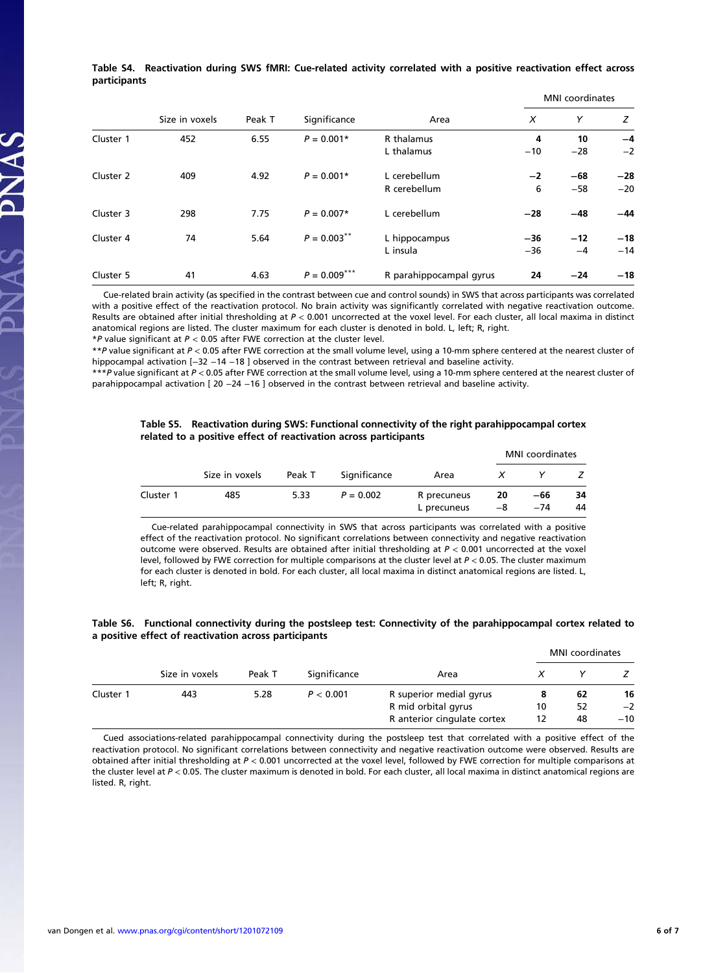Table S4. Reactivation during SWS fMRI: Cue-related activity correlated with a positive reactivation effect across participants

|           |                |        |                |                         |       | MNI coordinates |       |  |  |
|-----------|----------------|--------|----------------|-------------------------|-------|-----------------|-------|--|--|
|           | Size in voxels | Peak T | Significance   | Area                    | X     | Y               | z     |  |  |
| Cluster 1 | 452            | 6.55   | $P = 0.001*$   | R thalamus              | 4     | 10              | $-4$  |  |  |
|           |                |        |                | L thalamus              | $-10$ | $-28$           | $-2$  |  |  |
| Cluster 2 | 409            | 4.92   | $P = 0.001*$   | L cerebellum            | $-2$  | $-68$           | $-28$ |  |  |
|           |                |        |                | R cerebellum            | 6     | $-58$           | $-20$ |  |  |
| Cluster 3 | 298            | 7.75   | $P = 0.007*$   | L cerebellum            | $-28$ | $-48$           | $-44$ |  |  |
| Cluster 4 | 74             | 5.64   | $P = 0.003***$ | L hippocampus           | $-36$ | $-12$           | $-18$ |  |  |
|           |                |        |                | L insula                | $-36$ | $-4$            | $-14$ |  |  |
| Cluster 5 | 41             | 4.63   | $P = 0.009***$ | R parahippocampal gyrus | 24    | $-24$           | $-18$ |  |  |

Cue-related brain activity (as specified in the contrast between cue and control sounds) in SWS that across participants was correlated with a positive effect of the reactivation protocol. No brain activity was significantly correlated with negative reactivation outcome. Results are obtained after initial thresholding at  $P < 0.001$  uncorrected at the voxel level. For each cluster, all local maxima in distinct anatomical regions are listed. The cluster maximum for each cluster is denoted in bold. L, left; R, right.

 $*P$  value significant at  $P < 0.05$  after FWE correction at the cluster level.

SVNG PNS

\*\*P value significant at P < 0.05 after FWE correction at the small volume level, using a 10-mm sphere centered at the nearest cluster of hippocampal activation [-32 -14 -18 ] observed in the contrast between retrieval and baseline activity.

\*\*\*P value significant at P < 0.05 after FWE correction at the small volume level, using a 10-mm sphere centered at the nearest cluster of parahippocampal activation [ 20 -24 -16 ] observed in the contrast between retrieval and baseline activity.

#### Table S5. Reactivation during SWS: Functional connectivity of the right parahippocampal cortex related to a positive effect of reactivation across participants

|           |                |        |              |                            |          | <b>MNI</b> coordinates |          |
|-----------|----------------|--------|--------------|----------------------------|----------|------------------------|----------|
|           | Size in voxels | Peak T | Significance | Area                       | X        |                        |          |
| Cluster 1 | 485            | 5.33   | $P = 0.002$  | R precuneus<br>L precuneus | 20<br>-8 | -66<br>$-74$           | 34<br>44 |

Cue-related parahippocampal connectivity in SWS that across participants was correlated with a positive effect of the reactivation protocol. No significant correlations between connectivity and negative reactivation outcome were observed. Results are obtained after initial thresholding at  $P < 0.001$  uncorrected at the voxel level, followed by FWE correction for multiple comparisons at the cluster level at  $P < 0.05$ . The cluster maximum for each cluster is denoted in bold. For each cluster, all local maxima in distinct anatomical regions are listed. L, left; R, right.

### Table S6. Functional connectivity during the postsleep test: Connectivity of the parahippocampal cortex related to a positive effect of reactivation across participants

|           |                |        |              |                             | <b>MNI</b> coordinates |    |       |
|-----------|----------------|--------|--------------|-----------------------------|------------------------|----|-------|
|           | Size in voxels | Peak T | Significance | Area                        |                        |    |       |
| Cluster 1 | 443            | 5.28   | P < 0.001    | R superior medial gyrus     | 8                      | 62 | 16    |
|           |                |        |              | R mid orbital gyrus         | 10                     | 52 | $-2$  |
|           |                |        |              | R anterior cingulate cortex | 12                     | 48 | $-10$ |

Cued associations-related parahippocampal connectivity during the postsleep test that correlated with a positive effect of the reactivation protocol. No significant correlations between connectivity and negative reactivation outcome were observed. Results are obtained after initial thresholding at P < 0.001 uncorrected at the voxel level, followed by FWE correction for multiple comparisons at the cluster level at  $P < 0.05$ . The cluster maximum is denoted in bold. For each cluster, all local maxima in distinct anatomical regions are listed. R. right.